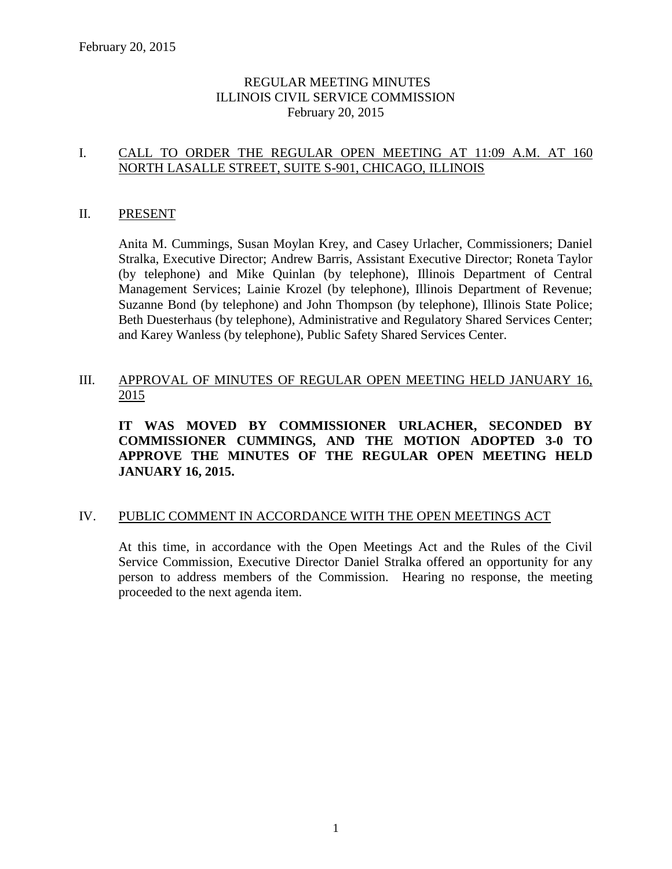# REGULAR MEETING MINUTES ILLINOIS CIVIL SERVICE COMMISSION February 20, 2015

# I. CALL TO ORDER THE REGULAR OPEN MEETING AT 11:09 A.M. AT 160 NORTH LASALLE STREET, SUITE S-901, CHICAGO, ILLINOIS

### II. PRESENT

Anita M. Cummings, Susan Moylan Krey, and Casey Urlacher, Commissioners; Daniel Stralka, Executive Director; Andrew Barris, Assistant Executive Director; Roneta Taylor (by telephone) and Mike Quinlan (by telephone), Illinois Department of Central Management Services; Lainie Krozel (by telephone), Illinois Department of Revenue; Suzanne Bond (by telephone) and John Thompson (by telephone), Illinois State Police; Beth Duesterhaus (by telephone), Administrative and Regulatory Shared Services Center; and Karey Wanless (by telephone), Public Safety Shared Services Center.

# III. APPROVAL OF MINUTES OF REGULAR OPEN MEETING HELD JANUARY 16, 2015

**IT WAS MOVED BY COMMISSIONER URLACHER, SECONDED BY COMMISSIONER CUMMINGS, AND THE MOTION ADOPTED 3-0 TO APPROVE THE MINUTES OF THE REGULAR OPEN MEETING HELD JANUARY 16, 2015.** 

#### IV. PUBLIC COMMENT IN ACCORDANCE WITH THE OPEN MEETINGS ACT

At this time, in accordance with the Open Meetings Act and the Rules of the Civil Service Commission, Executive Director Daniel Stralka offered an opportunity for any person to address members of the Commission. Hearing no response, the meeting proceeded to the next agenda item.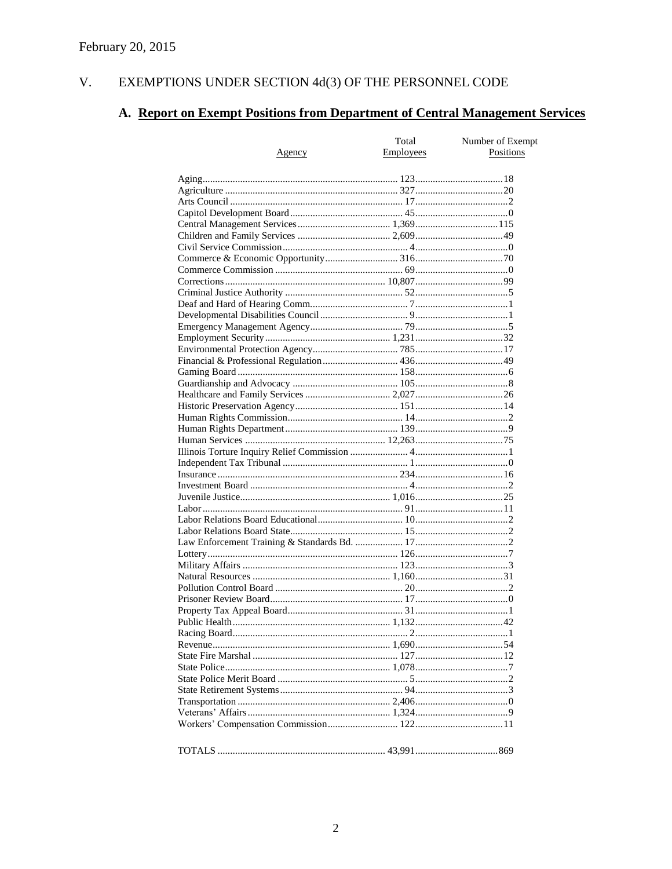#### $V<sub>r</sub>$ EXEMPTIONS UNDER SECTION 4d(3) OF THE PERSONNEL CODE

# A. Report on Exempt Positions from Department of Central Management Services

| <u>Agency</u> | Total<br><b>Employees</b> | Number of Exempt<br>Positions |
|---------------|---------------------------|-------------------------------|
|               |                           |                               |
|               |                           |                               |
|               |                           |                               |
|               |                           |                               |
|               |                           |                               |
|               |                           |                               |
|               |                           |                               |
|               |                           |                               |
|               |                           |                               |
|               |                           |                               |
|               |                           |                               |
|               |                           |                               |
|               |                           |                               |
|               |                           |                               |
|               |                           |                               |
|               |                           |                               |
|               |                           |                               |
|               |                           |                               |
|               |                           |                               |
|               |                           |                               |
|               |                           |                               |
|               |                           |                               |
|               |                           |                               |
|               |                           |                               |
|               |                           |                               |
|               |                           |                               |
|               |                           |                               |
|               |                           |                               |
|               |                           |                               |
|               |                           |                               |
|               |                           |                               |
|               |                           |                               |
|               |                           |                               |
|               |                           |                               |
|               |                           |                               |
|               |                           |                               |
|               |                           |                               |
|               |                           |                               |
|               |                           |                               |
|               |                           |                               |
|               |                           |                               |
|               |                           |                               |
|               |                           |                               |
|               |                           |                               |
|               |                           |                               |
|               |                           |                               |
|               |                           |                               |
|               |                           |                               |
|               |                           |                               |
|               |                           |                               |
|               |                           |                               |
|               |                           |                               |
|               |                           |                               |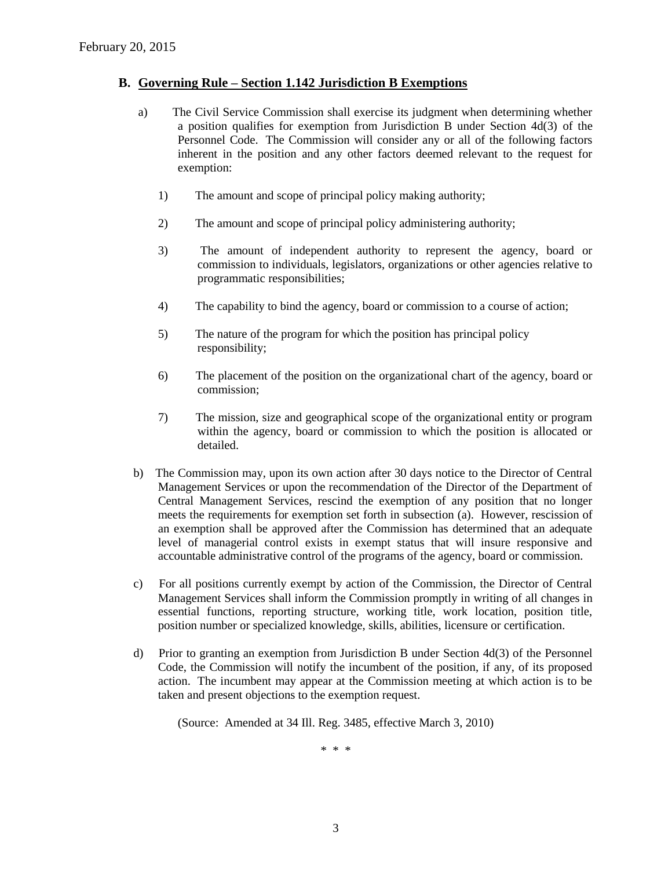#### **B. Governing Rule – Section 1.142 Jurisdiction B Exemptions**

- a) The Civil Service Commission shall exercise its judgment when determining whether a position qualifies for exemption from Jurisdiction B under Section 4d(3) of the Personnel Code. The Commission will consider any or all of the following factors inherent in the position and any other factors deemed relevant to the request for exemption:
	- 1) The amount and scope of principal policy making authority;
	- 2) The amount and scope of principal policy administering authority;
	- 3) The amount of independent authority to represent the agency, board or commission to individuals, legislators, organizations or other agencies relative to programmatic responsibilities;
	- 4) The capability to bind the agency, board or commission to a course of action;
	- 5) The nature of the program for which the position has principal policy responsibility;
	- 6) The placement of the position on the organizational chart of the agency, board or commission;
	- 7) The mission, size and geographical scope of the organizational entity or program within the agency, board or commission to which the position is allocated or detailed.
- b) The Commission may, upon its own action after 30 days notice to the Director of Central Management Services or upon the recommendation of the Director of the Department of Central Management Services, rescind the exemption of any position that no longer meets the requirements for exemption set forth in subsection (a). However, rescission of an exemption shall be approved after the Commission has determined that an adequate level of managerial control exists in exempt status that will insure responsive and accountable administrative control of the programs of the agency, board or commission.
- c) For all positions currently exempt by action of the Commission, the Director of Central Management Services shall inform the Commission promptly in writing of all changes in essential functions, reporting structure, working title, work location, position title, position number or specialized knowledge, skills, abilities, licensure or certification.
- d) Prior to granting an exemption from Jurisdiction B under Section 4d(3) of the Personnel Code, the Commission will notify the incumbent of the position, if any, of its proposed action. The incumbent may appear at the Commission meeting at which action is to be taken and present objections to the exemption request.

(Source: Amended at 34 Ill. Reg. 3485, effective March 3, 2010)

\* \* \*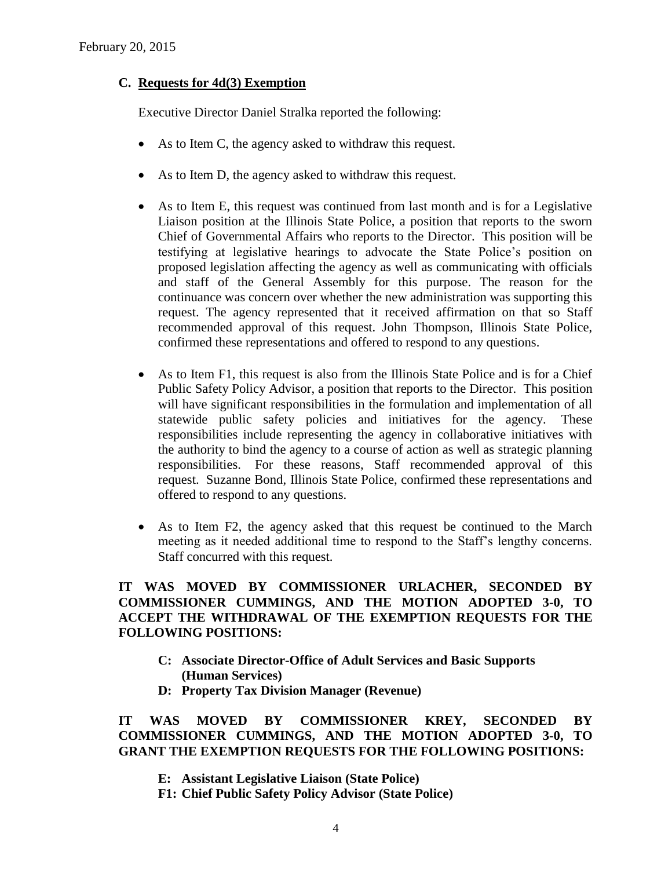# **C. Requests for 4d(3) Exemption**

Executive Director Daniel Stralka reported the following:

- As to Item C, the agency asked to withdraw this request.
- As to Item D, the agency asked to withdraw this request.
- As to Item E, this request was continued from last month and is for a Legislative Liaison position at the Illinois State Police, a position that reports to the sworn Chief of Governmental Affairs who reports to the Director. This position will be testifying at legislative hearings to advocate the State Police's position on proposed legislation affecting the agency as well as communicating with officials and staff of the General Assembly for this purpose. The reason for the continuance was concern over whether the new administration was supporting this request. The agency represented that it received affirmation on that so Staff recommended approval of this request. John Thompson, Illinois State Police, confirmed these representations and offered to respond to any questions.
- As to Item F1, this request is also from the Illinois State Police and is for a Chief Public Safety Policy Advisor, a position that reports to the Director. This position will have significant responsibilities in the formulation and implementation of all statewide public safety policies and initiatives for the agency. These responsibilities include representing the agency in collaborative initiatives with the authority to bind the agency to a course of action as well as strategic planning responsibilities. For these reasons, Staff recommended approval of this request. Suzanne Bond, Illinois State Police, confirmed these representations and offered to respond to any questions.
- As to Item F2, the agency asked that this request be continued to the March meeting as it needed additional time to respond to the Staff's lengthy concerns. Staff concurred with this request.

# **IT WAS MOVED BY COMMISSIONER URLACHER, SECONDED BY COMMISSIONER CUMMINGS, AND THE MOTION ADOPTED 3-0, TO ACCEPT THE WITHDRAWAL OF THE EXEMPTION REQUESTS FOR THE FOLLOWING POSITIONS:**

- **C: Associate Director-Office of Adult Services and Basic Supports (Human Services)**
- **D: Property Tax Division Manager (Revenue)**

**IT WAS MOVED BY COMMISSIONER KREY, SECONDED BY COMMISSIONER CUMMINGS, AND THE MOTION ADOPTED 3-0, TO GRANT THE EXEMPTION REQUESTS FOR THE FOLLOWING POSITIONS:**

- **E: Assistant Legislative Liaison (State Police)**
- **F1: Chief Public Safety Policy Advisor (State Police)**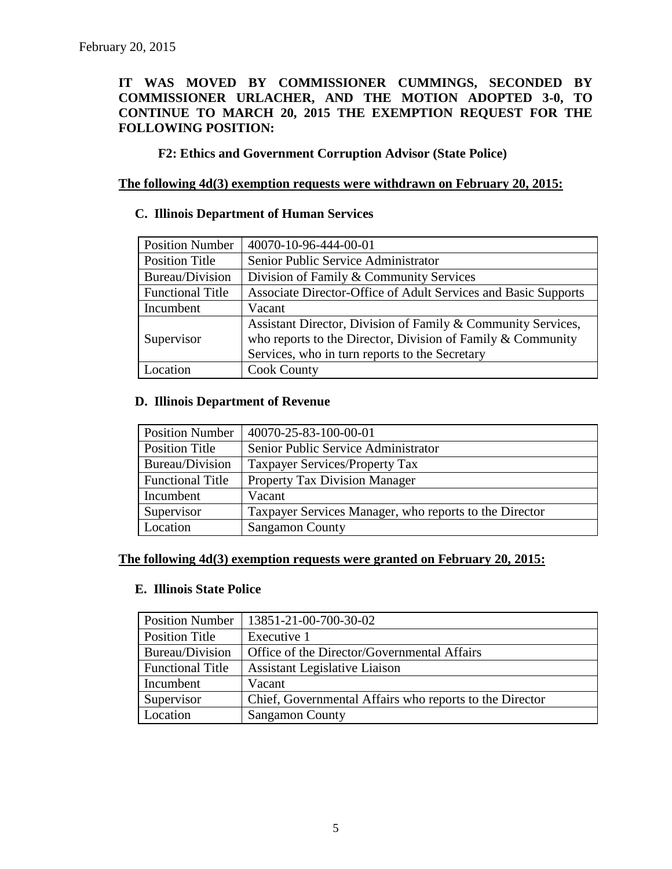# **IT WAS MOVED BY COMMISSIONER CUMMINGS, SECONDED BY COMMISSIONER URLACHER, AND THE MOTION ADOPTED 3-0, TO CONTINUE TO MARCH 20, 2015 THE EXEMPTION REQUEST FOR THE FOLLOWING POSITION:**

**F2: Ethics and Government Corruption Advisor (State Police)**

### **The following 4d(3) exemption requests were withdrawn on February 20, 2015:**

#### **C. Illinois Department of Human Services**

| <b>Position Number</b>  | 40070-10-96-444-00-01                                          |  |
|-------------------------|----------------------------------------------------------------|--|
| <b>Position Title</b>   | Senior Public Service Administrator                            |  |
| Bureau/Division         | Division of Family & Community Services                        |  |
| <b>Functional Title</b> | Associate Director-Office of Adult Services and Basic Supports |  |
| Incumbent               | Vacant                                                         |  |
|                         | Assistant Director, Division of Family & Community Services,   |  |
| Supervisor              | who reports to the Director, Division of Family $&$ Community  |  |
|                         | Services, who in turn reports to the Secretary                 |  |
| Location                | <b>Cook County</b>                                             |  |

#### **D. Illinois Department of Revenue**

| <b>Position Number</b>  | 40070-25-83-100-00-01                                  |
|-------------------------|--------------------------------------------------------|
| Position Title          | Senior Public Service Administrator                    |
| Bureau/Division         | Taxpayer Services/Property Tax                         |
| <b>Functional Title</b> | <b>Property Tax Division Manager</b>                   |
| Incumbent               | Vacant                                                 |
| Supervisor              | Taxpayer Services Manager, who reports to the Director |
| Location                | <b>Sangamon County</b>                                 |

#### **The following 4d(3) exemption requests were granted on February 20, 2015:**

#### **E. Illinois State Police**

| <b>Position Number</b>  | 13851-21-00-700-30-02                                   |
|-------------------------|---------------------------------------------------------|
| Position Title          | Executive 1                                             |
| Bureau/Division         | Office of the Director/Governmental Affairs             |
| <b>Functional Title</b> | <b>Assistant Legislative Liaison</b>                    |
| Incumbent               | Vacant                                                  |
| Supervisor              | Chief, Governmental Affairs who reports to the Director |
| Location                | <b>Sangamon County</b>                                  |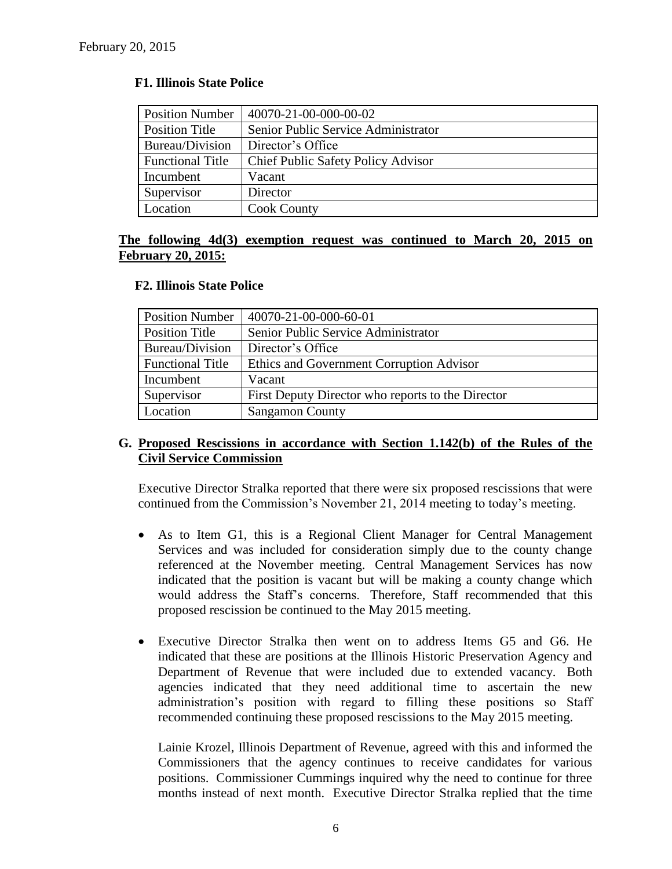#### **F1. Illinois State Police**

| <b>Position Number</b>  | 40070-21-00-000-00-02                     |
|-------------------------|-------------------------------------------|
| <b>Position Title</b>   | Senior Public Service Administrator       |
| Bureau/Division         | Director's Office                         |
| <b>Functional Title</b> | <b>Chief Public Safety Policy Advisor</b> |
| Incumbent               | Vacant                                    |
| Supervisor              | Director                                  |
| Location                | <b>Cook County</b>                        |

#### **The following 4d(3) exemption request was continued to March 20, 2015 on February 20, 2015:**

#### **F2. Illinois State Police**

| <b>Position Number</b>  | 40070-21-00-000-60-01                             |
|-------------------------|---------------------------------------------------|
| Position Title          | Senior Public Service Administrator               |
| Bureau/Division         | Director's Office                                 |
| <b>Functional Title</b> | Ethics and Government Corruption Advisor          |
| Incumbent               | Vacant                                            |
| Supervisor              | First Deputy Director who reports to the Director |
| Location                | <b>Sangamon County</b>                            |

# **G. Proposed Rescissions in accordance with Section 1.142(b) of the Rules of the Civil Service Commission**

Executive Director Stralka reported that there were six proposed rescissions that were continued from the Commission's November 21, 2014 meeting to today's meeting.

- As to Item G1, this is a Regional Client Manager for Central Management Services and was included for consideration simply due to the county change referenced at the November meeting. Central Management Services has now indicated that the position is vacant but will be making a county change which would address the Staff's concerns. Therefore, Staff recommended that this proposed rescission be continued to the May 2015 meeting.
- Executive Director Stralka then went on to address Items G5 and G6. He indicated that these are positions at the Illinois Historic Preservation Agency and Department of Revenue that were included due to extended vacancy. Both agencies indicated that they need additional time to ascertain the new administration's position with regard to filling these positions so Staff recommended continuing these proposed rescissions to the May 2015 meeting.

Lainie Krozel, Illinois Department of Revenue, agreed with this and informed the Commissioners that the agency continues to receive candidates for various positions. Commissioner Cummings inquired why the need to continue for three months instead of next month. Executive Director Stralka replied that the time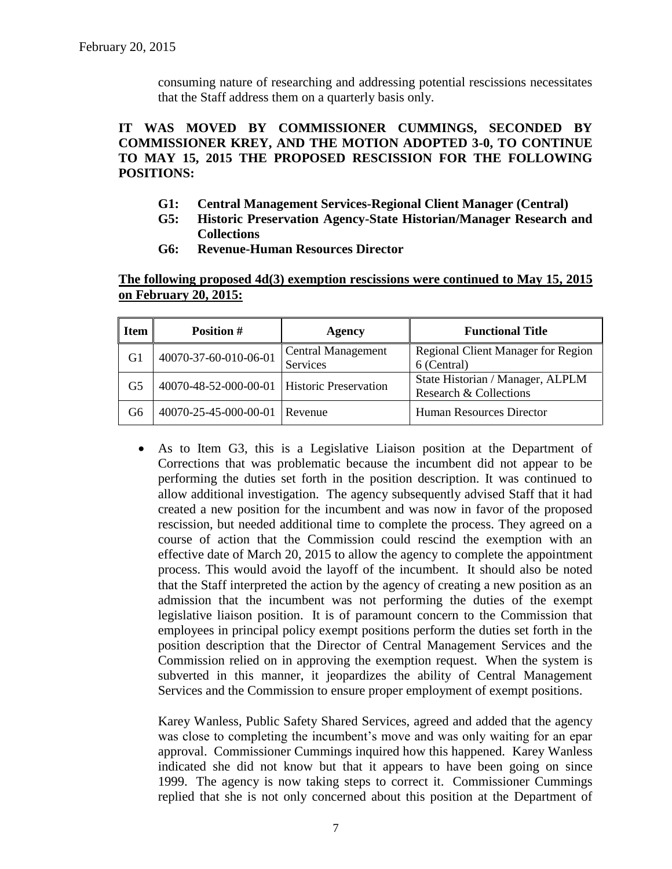consuming nature of researching and addressing potential rescissions necessitates that the Staff address them on a quarterly basis only.

**IT WAS MOVED BY COMMISSIONER CUMMINGS, SECONDED BY COMMISSIONER KREY, AND THE MOTION ADOPTED 3-0, TO CONTINUE TO MAY 15, 2015 THE PROPOSED RESCISSION FOR THE FOLLOWING POSITIONS:**

- **G1: Central Management Services-Regional Client Manager (Central)**
- **G5: Historic Preservation Agency-State Historian/Manager Research and Collections**
- **G6: Revenue-Human Resources Director**

**The following proposed 4d(3) exemption rescissions were continued to May 15, 2015 on February 20, 2015:**

| <b>Item</b>                                         | <b>Position #</b>     | Agency                              | <b>Functional Title</b>            |  |
|-----------------------------------------------------|-----------------------|-------------------------------------|------------------------------------|--|
| G1                                                  | 40070-37-60-010-06-01 | <b>Central Management</b>           | Regional Client Manager for Region |  |
|                                                     |                       | Services                            | 6 (Central)                        |  |
| 40070-48-52-000-00-01   Historic Preservation<br>G5 |                       |                                     | State Historian / Manager, ALPLM   |  |
|                                                     |                       |                                     | Research & Collections             |  |
| G6                                                  | 40070-25-45-000-00-01 | Human Resources Director<br>Revenue |                                    |  |

 As to Item G3, this is a Legislative Liaison position at the Department of Corrections that was problematic because the incumbent did not appear to be performing the duties set forth in the position description. It was continued to allow additional investigation. The agency subsequently advised Staff that it had created a new position for the incumbent and was now in favor of the proposed rescission, but needed additional time to complete the process. They agreed on a course of action that the Commission could rescind the exemption with an effective date of March 20, 2015 to allow the agency to complete the appointment process. This would avoid the layoff of the incumbent. It should also be noted that the Staff interpreted the action by the agency of creating a new position as an admission that the incumbent was not performing the duties of the exempt legislative liaison position. It is of paramount concern to the Commission that employees in principal policy exempt positions perform the duties set forth in the position description that the Director of Central Management Services and the Commission relied on in approving the exemption request. When the system is subverted in this manner, it jeopardizes the ability of Central Management Services and the Commission to ensure proper employment of exempt positions.

Karey Wanless, Public Safety Shared Services, agreed and added that the agency was close to completing the incumbent's move and was only waiting for an epar approval. Commissioner Cummings inquired how this happened. Karey Wanless indicated she did not know but that it appears to have been going on since 1999. The agency is now taking steps to correct it. Commissioner Cummings replied that she is not only concerned about this position at the Department of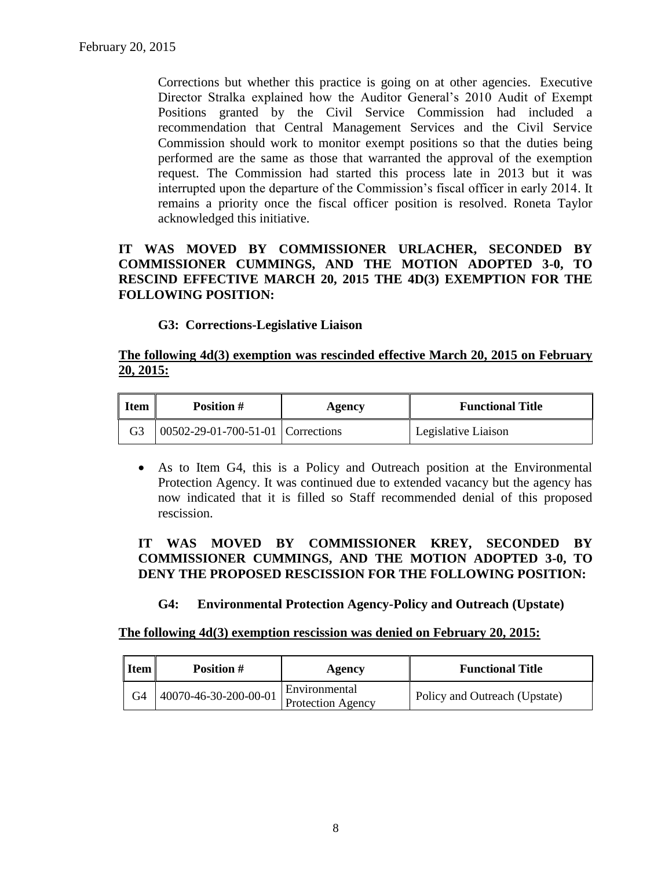Corrections but whether this practice is going on at other agencies. Executive Director Stralka explained how the Auditor General's 2010 Audit of Exempt Positions granted by the Civil Service Commission had included a recommendation that Central Management Services and the Civil Service Commission should work to monitor exempt positions so that the duties being performed are the same as those that warranted the approval of the exemption request. The Commission had started this process late in 2013 but it was interrupted upon the departure of the Commission's fiscal officer in early 2014. It remains a priority once the fiscal officer position is resolved. Roneta Taylor acknowledged this initiative.

# **IT WAS MOVED BY COMMISSIONER URLACHER, SECONDED BY COMMISSIONER CUMMINGS, AND THE MOTION ADOPTED 3-0, TO RESCIND EFFECTIVE MARCH 20, 2015 THE 4D(3) EXEMPTION FOR THE FOLLOWING POSITION:**

# **G3: Corrections-Legislative Liaison**

### **The following 4d(3) exemption was rescinded effective March 20, 2015 on February 20, 2015:**

| <b>Item</b> | <b>Position #</b>                   | Agency | <b>Functional Title</b> |  |
|-------------|-------------------------------------|--------|-------------------------|--|
| G3          | 00502-29-01-700-51-01   Corrections |        | Legislative Liaison     |  |

 As to Item G4, this is a Policy and Outreach position at the Environmental Protection Agency. It was continued due to extended vacancy but the agency has now indicated that it is filled so Staff recommended denial of this proposed rescission.

# **IT WAS MOVED BY COMMISSIONER KREY, SECONDED BY COMMISSIONER CUMMINGS, AND THE MOTION ADOPTED 3-0, TO DENY THE PROPOSED RESCISSION FOR THE FOLLOWING POSITION:**

# **G4: Environmental Protection Agency-Policy and Outreach (Upstate)**

#### **The following 4d(3) exemption rescission was denied on February 20, 2015:**

| <b>Item</b> | <b>Position #</b>     | Agency                             | <b>Functional Title</b>       |
|-------------|-----------------------|------------------------------------|-------------------------------|
| G4          | 40070-46-30-200-00-01 | Environmental<br>Protection Agency | Policy and Outreach (Upstate) |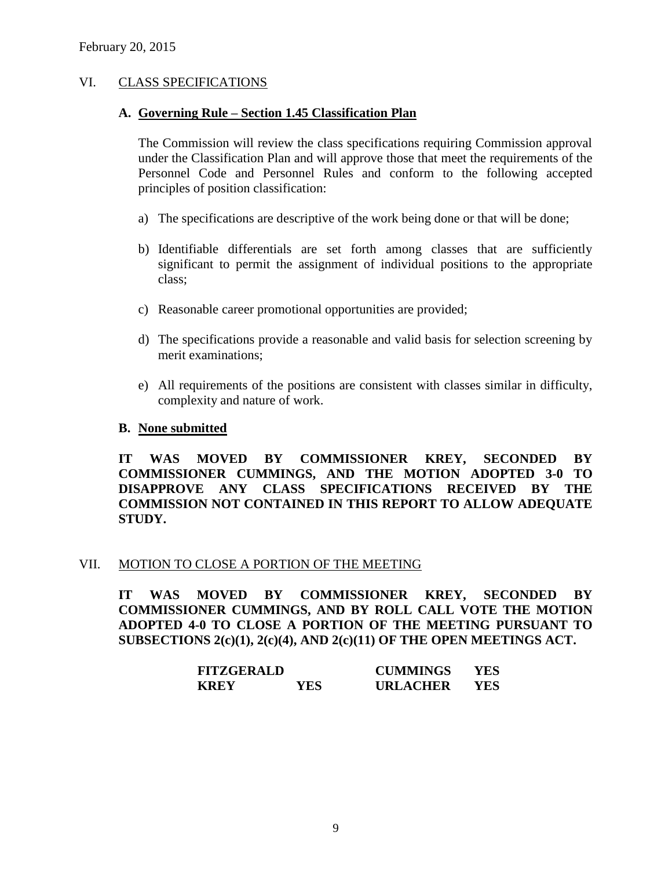### VI. CLASS SPECIFICATIONS

#### **A. Governing Rule – Section 1.45 Classification Plan**

The Commission will review the class specifications requiring Commission approval under the Classification Plan and will approve those that meet the requirements of the Personnel Code and Personnel Rules and conform to the following accepted principles of position classification:

- a) The specifications are descriptive of the work being done or that will be done;
- b) Identifiable differentials are set forth among classes that are sufficiently significant to permit the assignment of individual positions to the appropriate class;
- c) Reasonable career promotional opportunities are provided;
- d) The specifications provide a reasonable and valid basis for selection screening by merit examinations;
- e) All requirements of the positions are consistent with classes similar in difficulty, complexity and nature of work.

#### **B. None submitted**

**IT WAS MOVED BY COMMISSIONER KREY, SECONDED BY COMMISSIONER CUMMINGS, AND THE MOTION ADOPTED 3-0 TO DISAPPROVE ANY CLASS SPECIFICATIONS RECEIVED BY THE COMMISSION NOT CONTAINED IN THIS REPORT TO ALLOW ADEQUATE STUDY.** 

#### VII. MOTION TO CLOSE A PORTION OF THE MEETING

**IT WAS MOVED BY COMMISSIONER KREY, SECONDED BY COMMISSIONER CUMMINGS, AND BY ROLL CALL VOTE THE MOTION ADOPTED 4-0 TO CLOSE A PORTION OF THE MEETING PURSUANT TO SUBSECTIONS 2(c)(1), 2(c)(4), AND 2(c)(11) OF THE OPEN MEETINGS ACT.**

| <b>FITZGERALD</b> |     | <b>CUMMINGS</b> | YES |
|-------------------|-----|-----------------|-----|
| <b>KREY</b>       | YES | <b>URLACHER</b> | YES |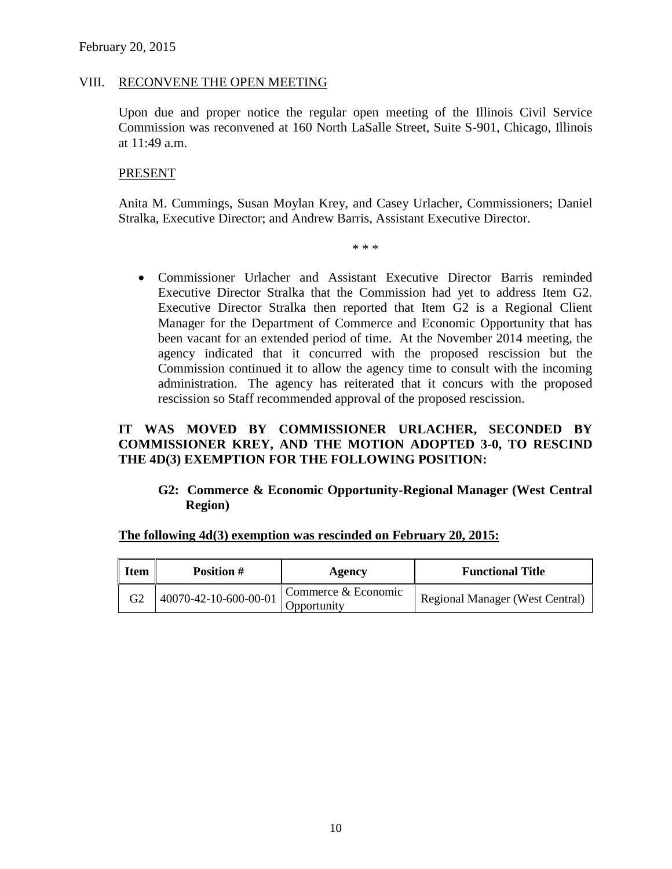#### VIII. RECONVENE THE OPEN MEETING

Upon due and proper notice the regular open meeting of the Illinois Civil Service Commission was reconvened at 160 North LaSalle Street, Suite S-901, Chicago, Illinois at 11:49 a.m.

#### PRESENT

Anita M. Cummings, Susan Moylan Krey, and Casey Urlacher, Commissioners; Daniel Stralka, Executive Director; and Andrew Barris, Assistant Executive Director.

\* \* \*

 Commissioner Urlacher and Assistant Executive Director Barris reminded Executive Director Stralka that the Commission had yet to address Item G2. Executive Director Stralka then reported that Item G2 is a Regional Client Manager for the Department of Commerce and Economic Opportunity that has been vacant for an extended period of time. At the November 2014 meeting, the agency indicated that it concurred with the proposed rescission but the Commission continued it to allow the agency time to consult with the incoming administration. The agency has reiterated that it concurs with the proposed rescission so Staff recommended approval of the proposed rescission.

# **IT WAS MOVED BY COMMISSIONER URLACHER, SECONDED BY COMMISSIONER KREY, AND THE MOTION ADOPTED 3-0, TO RESCIND THE 4D(3) EXEMPTION FOR THE FOLLOWING POSITION:**

**G2: Commerce & Economic Opportunity-Regional Manager (West Central Region)**

#### **The following 4d(3) exemption was rescinded on February 20, 2015:**

| <b>Item</b> | <b>Position #</b>     | Agency                             | <b>Functional Title</b>                |  |
|-------------|-----------------------|------------------------------------|----------------------------------------|--|
|             | 40070-42-10-600-00-01 | Commerce & Economic<br>Opportunity | <b>Regional Manager (West Central)</b> |  |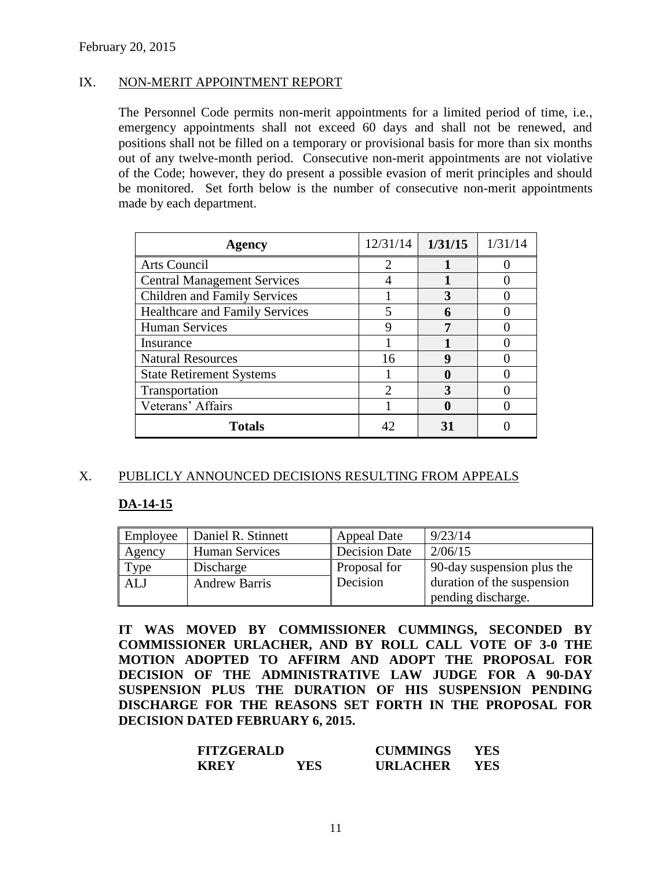### IX. NON-MERIT APPOINTMENT REPORT

The Personnel Code permits non-merit appointments for a limited period of time, i.e., emergency appointments shall not exceed 60 days and shall not be renewed, and positions shall not be filled on a temporary or provisional basis for more than six months out of any twelve-month period. Consecutive non-merit appointments are not violative of the Code; however, they do present a possible evasion of merit principles and should be monitored. Set forth below is the number of consecutive non-merit appointments made by each department.

| <b>Agency</b>                         | 12/31/14 | 1/31/15 | 1/31/14 |
|---------------------------------------|----------|---------|---------|
| Arts Council                          |          |         |         |
| <b>Central Management Services</b>    |          |         |         |
| <b>Children and Family Services</b>   |          |         |         |
| <b>Healthcare and Family Services</b> |          |         |         |
| <b>Human Services</b>                 |          |         |         |
| Insurance                             |          |         |         |
| <b>Natural Resources</b>              | 16       | 9       |         |
| <b>State Retirement Systems</b>       |          |         |         |
| Transportation                        |          |         |         |
| Veterans' Affairs                     |          |         |         |
| <b>Totals</b>                         |          | 31      |         |

# X. PUBLICLY ANNOUNCED DECISIONS RESULTING FROM APPEALS

#### **DA-14-15**

| Employee   | Daniel R. Stinnett    | <b>Appeal Date</b>  | 9/23/14                    |
|------------|-----------------------|---------------------|----------------------------|
| Agency     | <b>Human Services</b> | Decision Date       | 2/06/15                    |
| Type       | Discharge             | <b>Proposal for</b> | 90-day suspension plus the |
| <b>ALJ</b> | <b>Andrew Barris</b>  | Decision            | duration of the suspension |
|            |                       |                     | pending discharge.         |

**IT WAS MOVED BY COMMISSIONER CUMMINGS, SECONDED BY COMMISSIONER URLACHER, AND BY ROLL CALL VOTE OF 3-0 THE MOTION ADOPTED TO AFFIRM AND ADOPT THE PROPOSAL FOR DECISION OF THE ADMINISTRATIVE LAW JUDGE FOR A 90-DAY SUSPENSION PLUS THE DURATION OF HIS SUSPENSION PENDING DISCHARGE FOR THE REASONS SET FORTH IN THE PROPOSAL FOR DECISION DATED FEBRUARY 6, 2015.**

| <b>FITZGERALD</b> |     | <b>CUMMINGS</b> | YES. |
|-------------------|-----|-----------------|------|
| <b>KREY</b>       | YES | <b>URLACHER</b> | YES. |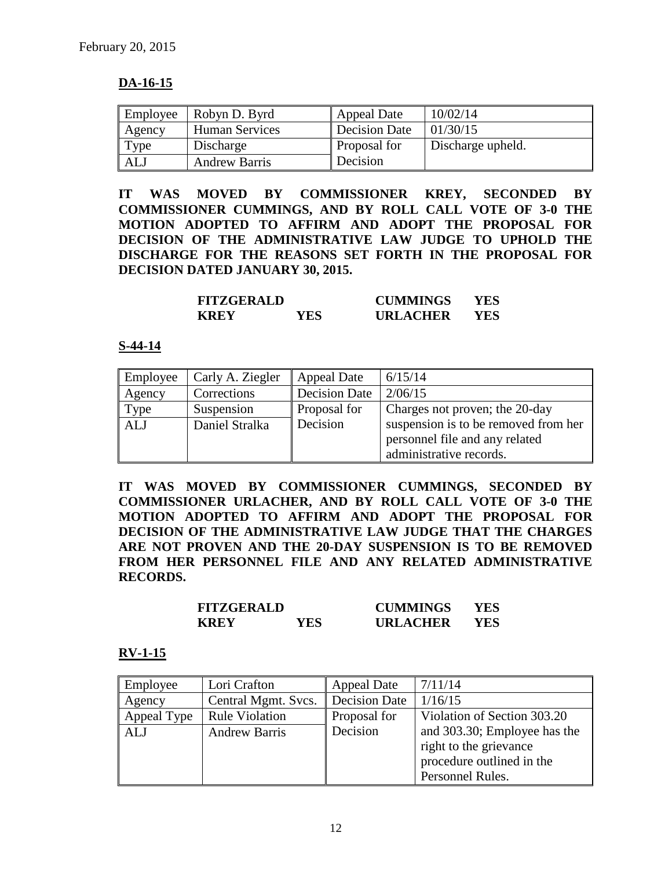# **DA-16-15**

| Employee | Robyn D. Byrd         | <b>Appeal Date</b>  | 10/02/14          |
|----------|-----------------------|---------------------|-------------------|
| Agency   | <b>Human Services</b> | Decision Date       | 01/30/15          |
| Type     | Discharge             | <b>Proposal for</b> | Discharge upheld. |
| ALJ      | <b>Andrew Barris</b>  | Decision            |                   |

**IT WAS MOVED BY COMMISSIONER KREY, SECONDED BY COMMISSIONER CUMMINGS, AND BY ROLL CALL VOTE OF 3-0 THE MOTION ADOPTED TO AFFIRM AND ADOPT THE PROPOSAL FOR DECISION OF THE ADMINISTRATIVE LAW JUDGE TO UPHOLD THE DISCHARGE FOR THE REASONS SET FORTH IN THE PROPOSAL FOR DECISION DATED JANUARY 30, 2015.**

| <b>FITZGERALD</b> |     | <b>CUMMINGS</b> | YES. |
|-------------------|-----|-----------------|------|
| <b>KREY</b>       | YES | <b>URLACHER</b> | YES. |

#### **S-44-14**

| Employee | Carly A. Ziegler | Appeal Date          | 6/15/14                              |
|----------|------------------|----------------------|--------------------------------------|
| Agency   | Corrections      | <b>Decision Date</b> | 2/06/15                              |
| Type     | Suspension       | Proposal for         | Charges not proven; the 20-day       |
| ALJ      | Daniel Stralka   | Decision             | suspension is to be removed from her |
|          |                  |                      | personnel file and any related       |
|          |                  |                      | administrative records.              |

**IT WAS MOVED BY COMMISSIONER CUMMINGS, SECONDED BY COMMISSIONER URLACHER, AND BY ROLL CALL VOTE OF 3-0 THE MOTION ADOPTED TO AFFIRM AND ADOPT THE PROPOSAL FOR DECISION OF THE ADMINISTRATIVE LAW JUDGE THAT THE CHARGES ARE NOT PROVEN AND THE 20-DAY SUSPENSION IS TO BE REMOVED FROM HER PERSONNEL FILE AND ANY RELATED ADMINISTRATIVE RECORDS.**

| <b>FITZGERALD</b> |      | <b>CUMMINGS</b> | YES  |
|-------------------|------|-----------------|------|
| <b>KREY</b>       | YES. | <b>URLACHER</b> | YES. |

#### **RV-1-15**

| Employee    | Lori Crafton          | <b>Appeal Date</b>   | 7/11/14                      |
|-------------|-----------------------|----------------------|------------------------------|
| Agency      | Central Mgmt. Svcs.   | <b>Decision Date</b> | 1/16/15                      |
| Appeal Type | <b>Rule Violation</b> | Proposal for         | Violation of Section 303.20  |
| <b>ALJ</b>  | <b>Andrew Barris</b>  | Decision             | and 303.30; Employee has the |
|             |                       |                      | right to the grievance       |
|             |                       |                      | procedure outlined in the    |
|             |                       |                      | Personnel Rules.             |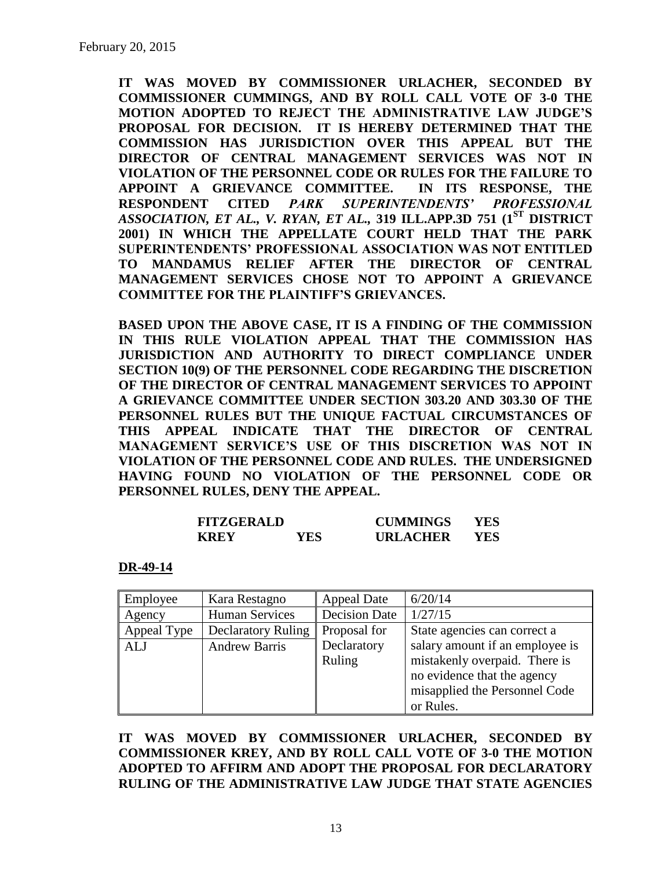**IT WAS MOVED BY COMMISSIONER URLACHER, SECONDED BY COMMISSIONER CUMMINGS, AND BY ROLL CALL VOTE OF 3-0 THE MOTION ADOPTED TO REJECT THE ADMINISTRATIVE LAW JUDGE'S PROPOSAL FOR DECISION. IT IS HEREBY DETERMINED THAT THE COMMISSION HAS JURISDICTION OVER THIS APPEAL BUT THE DIRECTOR OF CENTRAL MANAGEMENT SERVICES WAS NOT IN VIOLATION OF THE PERSONNEL CODE OR RULES FOR THE FAILURE TO APPOINT A GRIEVANCE COMMITTEE. IN ITS RESPONSE, THE RESPONDENT CITED** *PARK SUPERINTENDENTS' PROFESSIONAL ASSOCIATION, ET AL., V. RYAN, ET AL.,* **319 ILL.APP.3D 751 (1ST DISTRICT 2001) IN WHICH THE APPELLATE COURT HELD THAT THE PARK SUPERINTENDENTS' PROFESSIONAL ASSOCIATION WAS NOT ENTITLED TO MANDAMUS RELIEF AFTER THE DIRECTOR OF CENTRAL MANAGEMENT SERVICES CHOSE NOT TO APPOINT A GRIEVANCE COMMITTEE FOR THE PLAINTIFF'S GRIEVANCES.** 

**BASED UPON THE ABOVE CASE, IT IS A FINDING OF THE COMMISSION IN THIS RULE VIOLATION APPEAL THAT THE COMMISSION HAS JURISDICTION AND AUTHORITY TO DIRECT COMPLIANCE UNDER SECTION 10(9) OF THE PERSONNEL CODE REGARDING THE DISCRETION OF THE DIRECTOR OF CENTRAL MANAGEMENT SERVICES TO APPOINT A GRIEVANCE COMMITTEE UNDER SECTION 303.20 AND 303.30 OF THE PERSONNEL RULES BUT THE UNIQUE FACTUAL CIRCUMSTANCES OF THIS APPEAL INDICATE THAT THE DIRECTOR OF CENTRAL MANAGEMENT SERVICE'S USE OF THIS DISCRETION WAS NOT IN VIOLATION OF THE PERSONNEL CODE AND RULES. THE UNDERSIGNED HAVING FOUND NO VIOLATION OF THE PERSONNEL CODE OR PERSONNEL RULES, DENY THE APPEAL.**

| <b>FITZGERALD</b> |      | <b>CUMMINGS</b> | YES |
|-------------------|------|-----------------|-----|
| <b>KREY</b>       | YES. | <b>URLACHER</b> | YES |

#### **DR-49-14**

| Employee    | Kara Restagno             | <b>Appeal Date</b>   | 6/20/14                         |
|-------------|---------------------------|----------------------|---------------------------------|
| Agency      | <b>Human Services</b>     | <b>Decision Date</b> | 1/27/15                         |
| Appeal Type | <b>Declaratory Ruling</b> | Proposal for         | State agencies can correct a    |
| <b>ALJ</b>  | <b>Andrew Barris</b>      | Declaratory          | salary amount if an employee is |
|             |                           | Ruling               | mistakenly overpaid. There is   |
|             |                           |                      | no evidence that the agency     |
|             |                           |                      | misapplied the Personnel Code   |
|             |                           |                      | or Rules.                       |

**IT WAS MOVED BY COMMISSIONER URLACHER, SECONDED BY COMMISSIONER KREY, AND BY ROLL CALL VOTE OF 3-0 THE MOTION ADOPTED TO AFFIRM AND ADOPT THE PROPOSAL FOR DECLARATORY RULING OF THE ADMINISTRATIVE LAW JUDGE THAT STATE AGENCIES**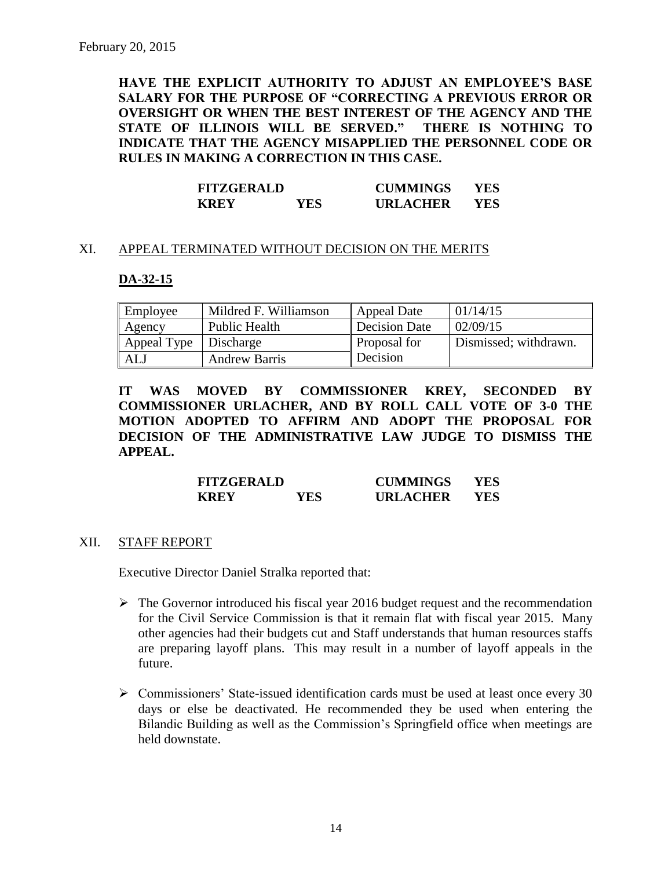**HAVE THE EXPLICIT AUTHORITY TO ADJUST AN EMPLOYEE'S BASE SALARY FOR THE PURPOSE OF "CORRECTING A PREVIOUS ERROR OR OVERSIGHT OR WHEN THE BEST INTEREST OF THE AGENCY AND THE STATE OF ILLINOIS WILL BE SERVED." THERE IS NOTHING TO INDICATE THAT THE AGENCY MISAPPLIED THE PERSONNEL CODE OR RULES IN MAKING A CORRECTION IN THIS CASE.**

| <b>FITZGERALD</b> |     | <b>CUMMINGS</b> | YES |
|-------------------|-----|-----------------|-----|
| <b>KREY</b>       | YES | <b>URLACHER</b> | YES |

#### XI. APPEAL TERMINATED WITHOUT DECISION ON THE MERITS

#### **DA-32-15**

| Employee              | Mildred F. Williamson | Appeal Date         | 01/14/15              |
|-----------------------|-----------------------|---------------------|-----------------------|
| Agency                | Public Health         | Decision Date       | 02/09/15              |
| Appeal Type Discharge |                       | <b>Proposal for</b> | Dismissed; withdrawn. |
| ALJ                   | <b>Andrew Barris</b>  | Decision            |                       |

**IT WAS MOVED BY COMMISSIONER KREY, SECONDED BY COMMISSIONER URLACHER, AND BY ROLL CALL VOTE OF 3-0 THE MOTION ADOPTED TO AFFIRM AND ADOPT THE PROPOSAL FOR DECISION OF THE ADMINISTRATIVE LAW JUDGE TO DISMISS THE APPEAL.**

| <b>FITZGERALD</b> |      | <b>CUMMINGS</b> | YES |
|-------------------|------|-----------------|-----|
| <b>KREY</b>       | YES. | <b>URLACHER</b> | YES |

#### XII. STAFF REPORT

Executive Director Daniel Stralka reported that:

- $\triangleright$  The Governor introduced his fiscal year 2016 budget request and the recommendation for the Civil Service Commission is that it remain flat with fiscal year 2015. Many other agencies had their budgets cut and Staff understands that human resources staffs are preparing layoff plans. This may result in a number of layoff appeals in the future.
- Commissioners' State-issued identification cards must be used at least once every 30 days or else be deactivated. He recommended they be used when entering the Bilandic Building as well as the Commission's Springfield office when meetings are held downstate.